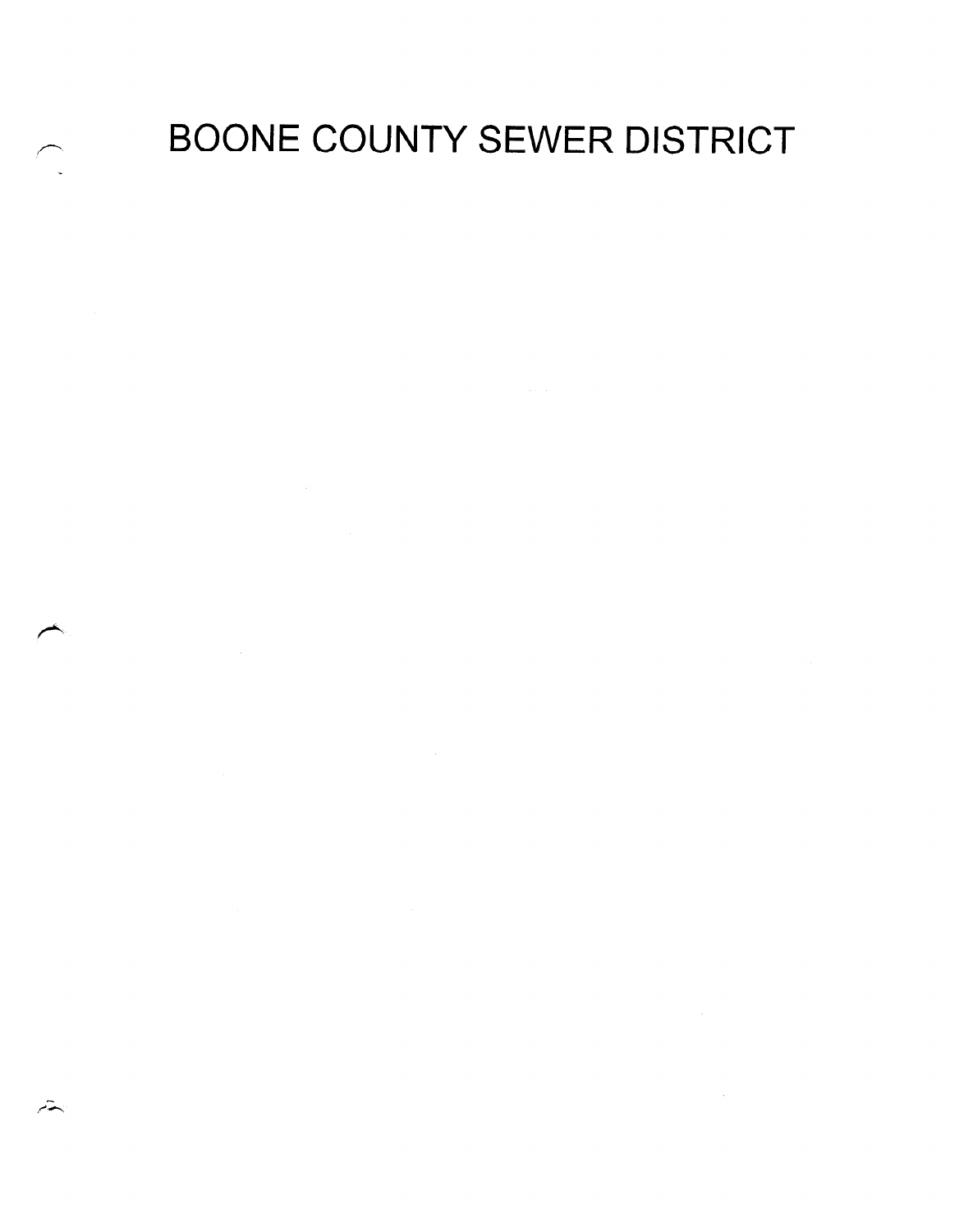# BOONE COUNTY SEWER DISTRICT

 $\mathcal{L}^{\text{max}}_{\text{max}}$  and  $\mathcal{L}^{\text{max}}_{\text{max}}$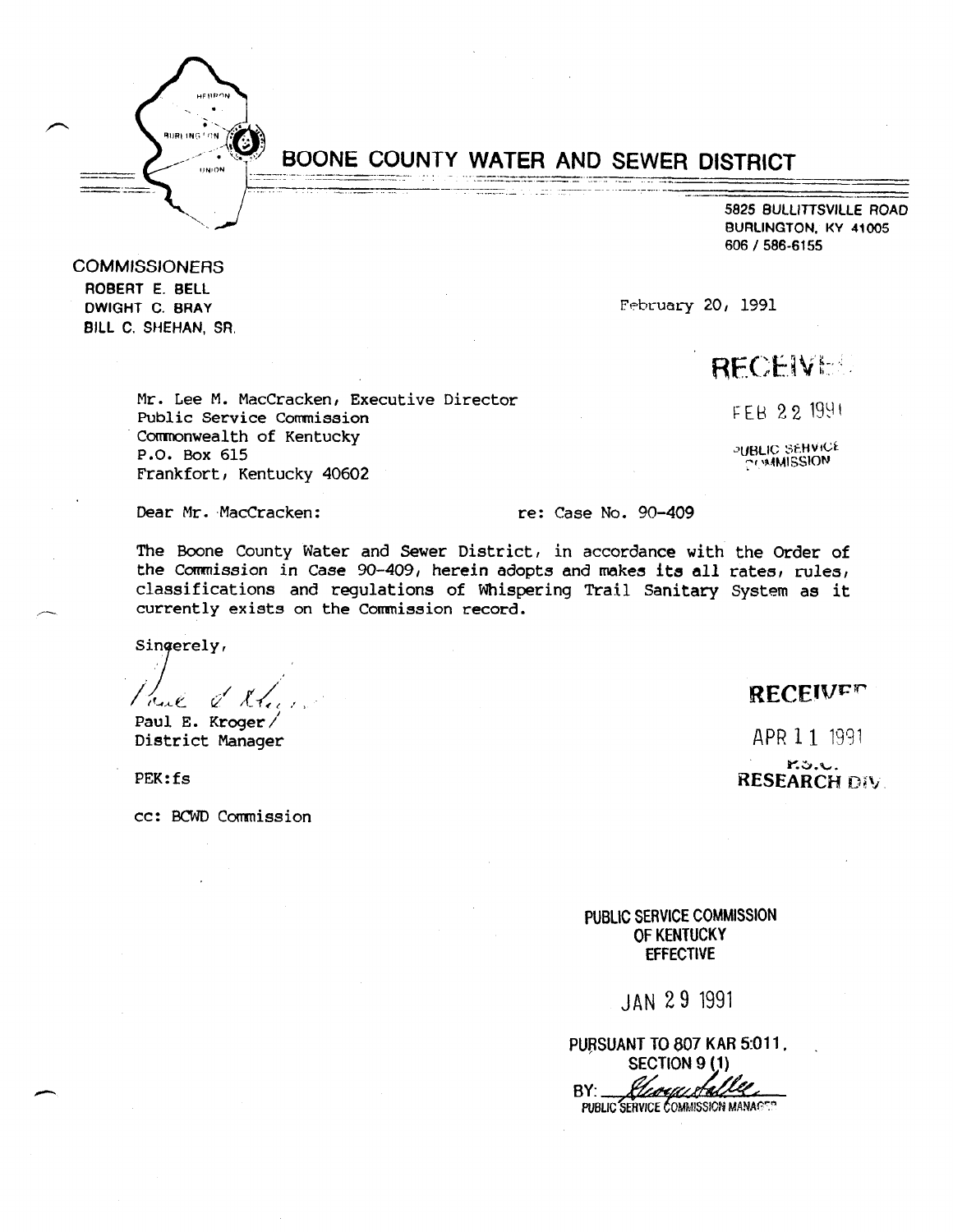

**COMMISSIONERS** ROBERT E. BELL DWIGHT C. BRAY BILL C. SHEHAN, SR.

# BOONE COUNTY WATER AND SEWER DISTRICT<br>
S925 BULLITISVILLE ROAD<br>
BURLINGTON, KY 41005<br>
606 / 586-6155

5825 BULLITTSVILLE ROAD BURLINGTON. KY 41005 606 / 586-6155

February 20, 1991

# **RECEIVEL**

Mr. Lee M. MacCracken, Executive Director Public Service Commission Comnonwealth of Kentucky P.O. Box 615 Frankfort, Kentucky 40602

FEB 22 1991

PUBLIC SEHVICE **COMMISSION** 

Dear Mr. MacCracken: The: Case No. 90-409

The Boone County Water and Sewer District, in accordance with the Order of the Doute County mater and Dewer District, in accordance with the Order Order. che commission in case so-aus, nerein auopus and makes its all fates, fulles classifications and regulations of Whispering Trail Sanitary System as it currently exists on the Commission record.

Singerely,

 $\mathcal{V}_{\mathcal{A}}$  , and  $\mathcal{V}_{\mathcal{A}}$  $\sqrt{2\pi\epsilon}$   $\ell$   $\ell$   $\ell$   $\ell$ 

District Manager

PEK:fs

cc: PCWD Commission

# **RECEIVER**

APR 1 1 1991

8.3.U. **RESEARCH DIV.** 

 $P(0)$ OEN VIVE VUMM OF KENTUCKY<br>EFFECTIVE

JAN 29 1991

PURSUANT TO 807 KAR 5:011. **SECTION 9 (1)** 

PUBLIC SERVICE COMMISSION MANAGER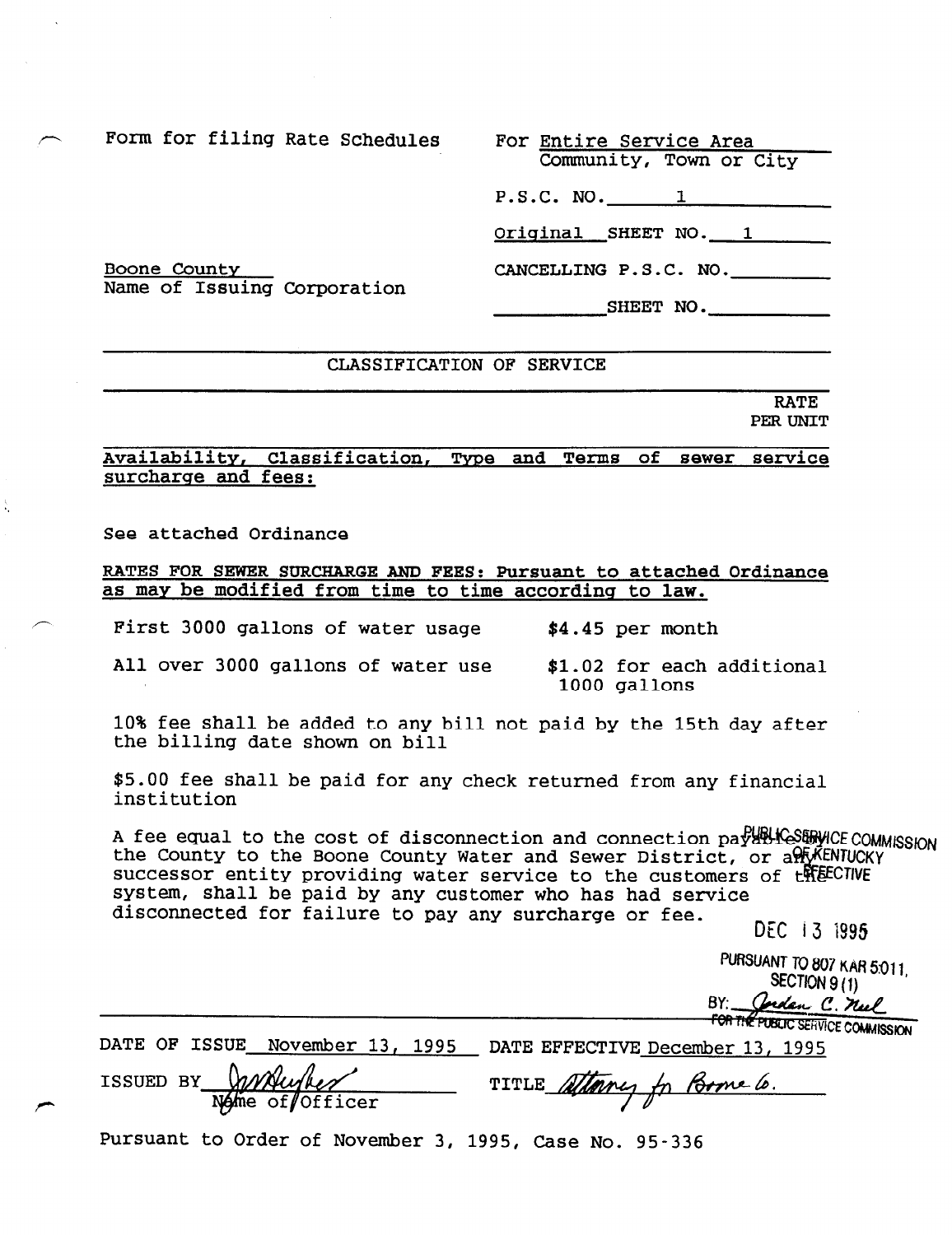Community, Town or City

P.S.C. NO. 1

Original SHEET NO. 1

CANCELLING P.S.C. NO.

SHEET NO.

#### Boone Countv Name of Issuing Corporation

# CLASSIFICATION OF SERVICE

RATE PER UNIT

# Availability, Classification, Type and Terms of sewer service surcharge and fees:

See attached Ordinance

RATES FOR SEWER SURCHARGE AND FEES: Pursuant to attached Ordinance as may be modified from time to time according to law.

First 3000 gallons of water usage  $$4.45$  per month

All over 3000 gallons of water use \$1.02 for each additional 1000 gallons

10% fee shall be added to any bill not paid by the 15th day after the billing date shown on bill

\$5.00 fee shall be paid for any check returned from any financial institution

A fee equal to the cost of disconnection and connection paralles and COMMISSION the County to the Boone County Water and Sewer District, or a PLA ENTUCKY successor entity providing water service to the customers of the ECTIVE system, shall be paid by any customer who has had service disconnected for failure to pay any surcharge or fee.

DEC i3 is95

**PURSUANT TO 807 KAR 5.011,** SECTION 9(1) BY: Cordan C. nel

FOR THE PUBLIC SERVICE COMMISSION

DATE OF ISSUE November 13, 1995 DATE EFFECTIVE December 13, 1995

ISSUED BY Wither TITLE Stany for Bome 6.

Pursuant to Order of November 3, 1995, Case No. 95-336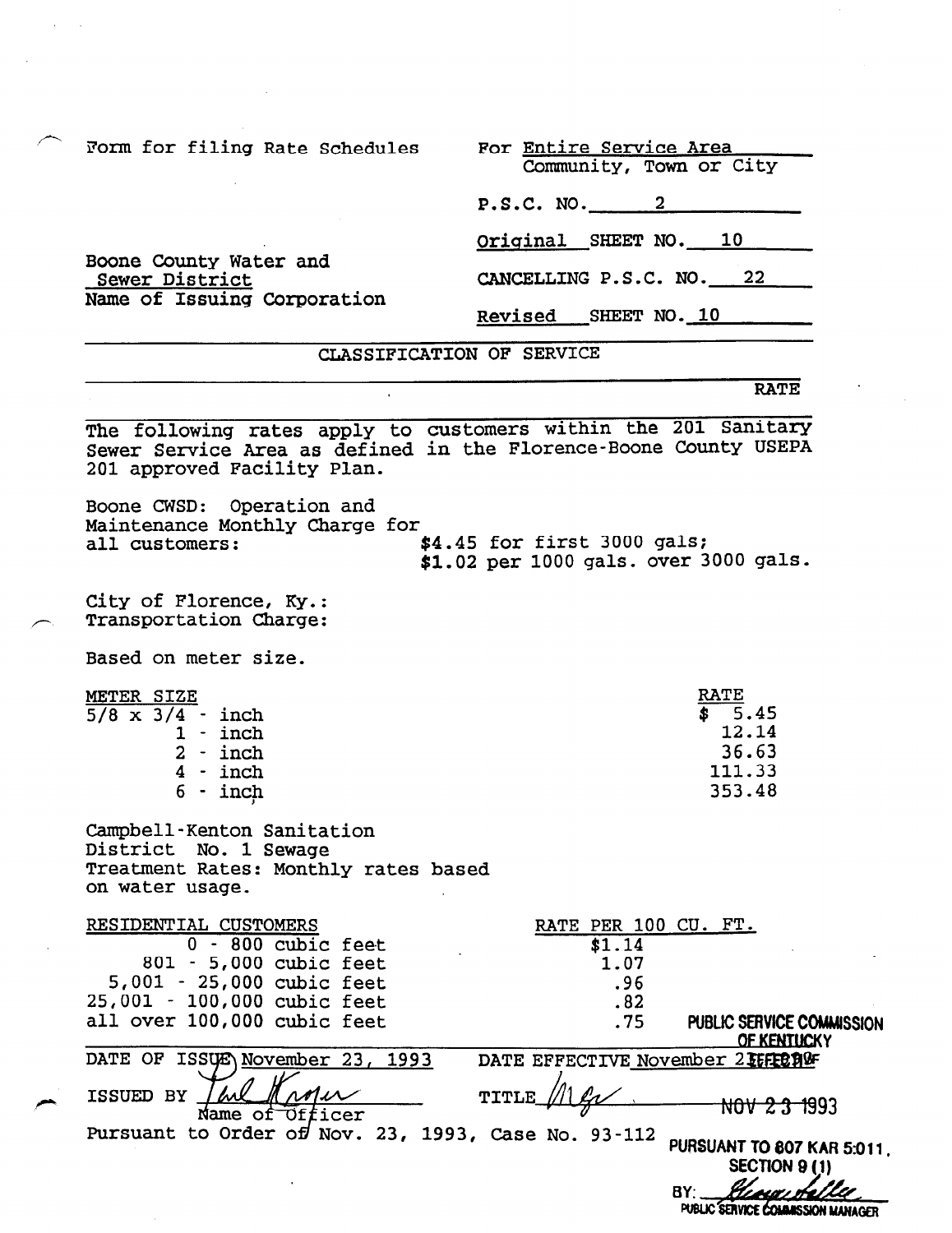Boone County Water and

Name of Issuing Corporation

Sewer District

Community, Town or City

P.S.C. NO. 2

Original SHEET NO. 10

CANCELLING P.S.C. NO. 22

Revised SHEET NO. 10

CLASSIFICATION OF SERVICE

#### RATE

The following rates apply to customers within the 201 Sanitary Sewer Service Area as defined in the Florence-Boone County USEPA 201 approved Facility Plan.

Boone CWSD: Operation and Maintenance Monthly Charge for all customers:  $$4.45$  for first 3000 gals; \$1.02 per 1000 gals. over 3000 gals.

City of Florence, KY.: Transportation Charge:

Based on meter size.

| METER SIZE              | <b>RATE</b> |
|-------------------------|-------------|
| $5/8 \times 3/4 - inch$ | 5.45<br>S   |
| $1 - inch$              | 12.14       |
| $2 - inch$              | 36.63       |
| $4 - inch$              | 111.33      |
| $6 - inch$              | 353.48      |

Campbell-Kenton Sanitation District No. 1 Sewage Treatment Rates: Monthly rates based on water usage.

RESIDENTIAL CUSTOMERS RATE PER 100 CU. FT. 0 - 800 cubic feet \$1.14 801 - 5,000 cubic feet 1.07 5,001 - 25,000 cubic feet .96 25,001 - 100,000 cubic feet .82 all over 100,000 cubic feet .75 PUBLIC SERVICE COMMISSION **OF KENTUCKY** DATE OF ISSUE November 23, 1993 DATE EFFECTIVE November 215FE01995 ISSUED BY TITLE\_ NOV 2.3 1993 Name of Officer<br>Pursuant to Order of Nov. 23, 1993, Case No. 93-112 PURSUANT TO 807 KAR 5:011. **SECTION 9 (1)** BY:

PUBLIC SERVICE COMMISSION MANAGER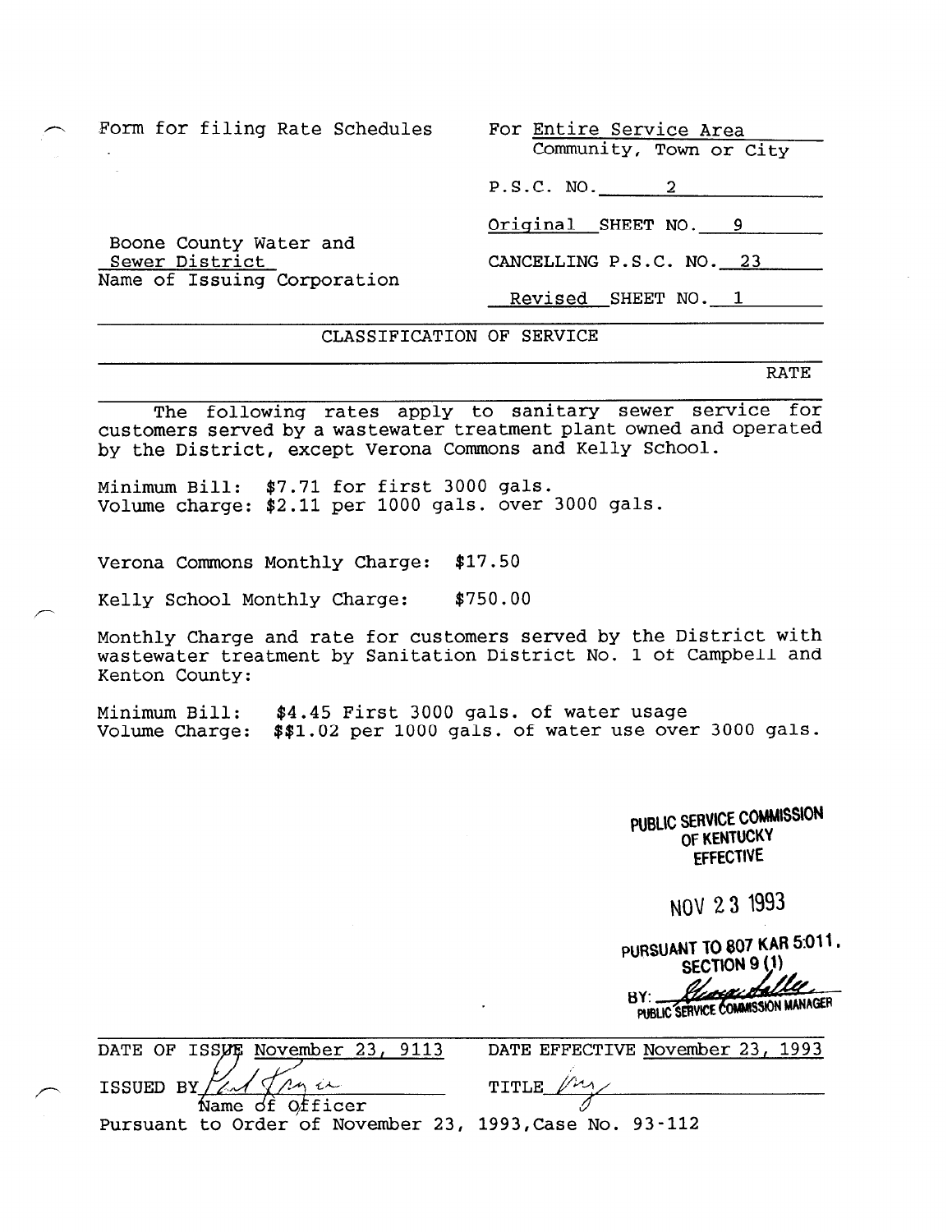Boone County Water and

Name of Issuing Corporation

Sewer District

Community, Town or City

P.S.C. NO. 2

Original SHEET NO. 9

CANCELLING P.S.C. NO. 23

Revised SHEET NO. 1

# CLASSIFICATION OF SERVICE

RATE

The following rates apply to sanitary sewer service for customers served by a wastewater treatment plant owned and operated by the District, except Verona Commons and Kelly School.

Minimum Bill: \$7.71 for first 3000 gals. Volume charge: \$2.11 per 1000 gals. over 3000 gals.

Verona Commons Monthly Charge: \$17.50

Kelly School Monthly Charge: \$750.00

Monthly Charge and rate for customers served by the District with wastewater treatment by Sanitation District No. 1 of Campbell and Kenton County:

Minimum Bill: \$4.45 First 3000 gals. of water usage Volume Charge: \$\$1.02 per 1000 gals. of water use over 3000 gals.

> PUBLIC SERVICE COMMISSION OF KENTUCKY EFFECTIVE

> > NOV 23 1993

PURSUANT TO 807 KAR 5:011. **BY:.** PUBLIC SERVICE COMMISSION MANAGER

|  | DATE OF ISSUE November 23, 9113 |  |
|--|---------------------------------|--|
|  |                                 |  |

DATE EFFECTIVE November 23, 1993

Name of Officer<br>Pursuant to Order of November 23, 1993, Case No. 93-112

ISSUED BY/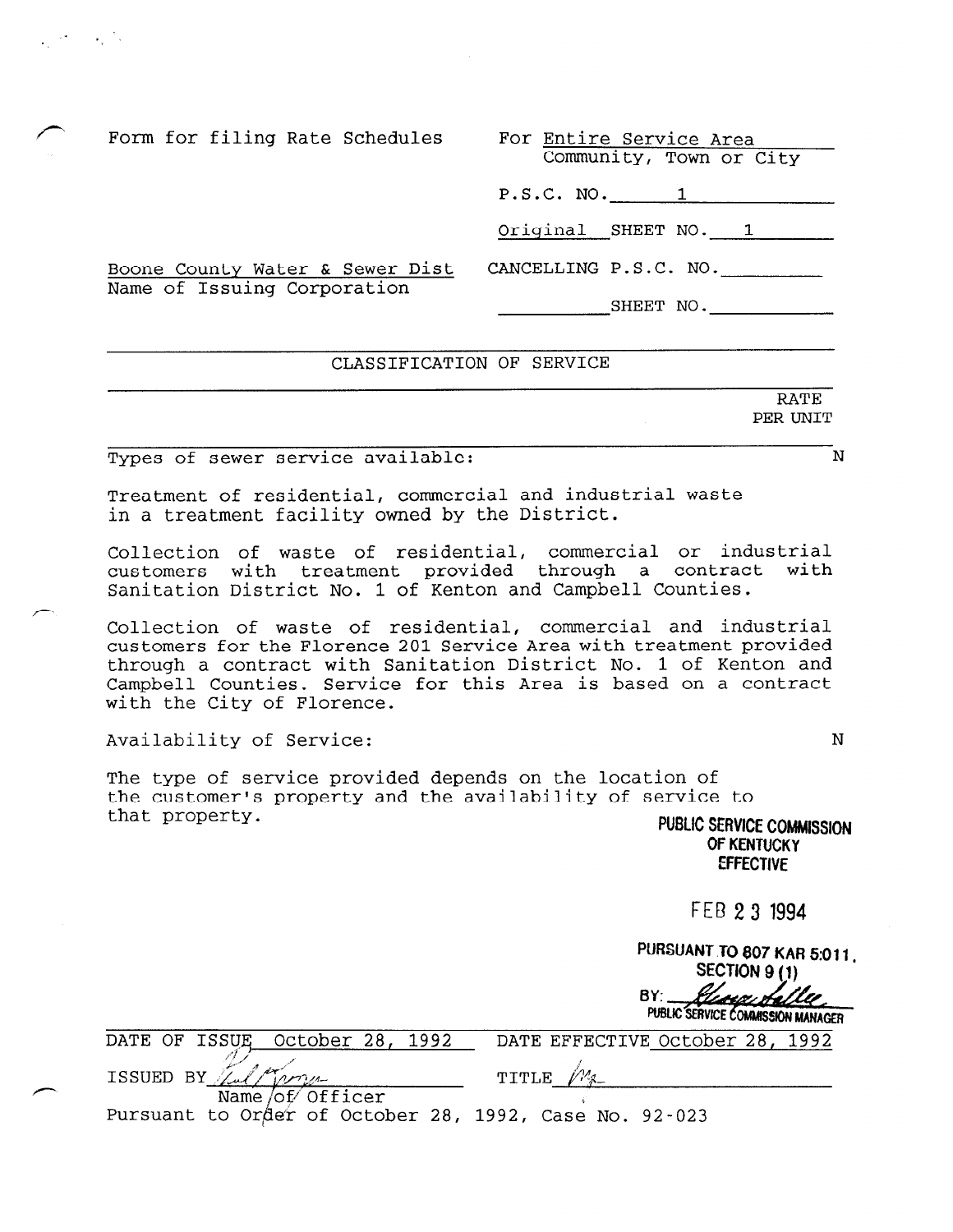Form for filing Rate Schedules For Entire Service Area Community, Town or City P.S.C. NO. 1 Original SHEET NO. 1 Boone County Water & Sewer Dist CANCELLING P.S.C. NO. Name of Issuing Corporation SHEET NO.

### CLASSIFICATION OF SERVICE

Types of sewer service available: N

 $\mathcal{L}^{\text{max}}(\mathcal{L}^{\text{max}})$ 

Treatment of residential, commercial and industrial waste in a treatment facility owned by the District.

Collection of waste of residential, commercial or industrial customers with treatment provided through a contract with Sanitation District No. 1 of Kenton and Campbell Counties.

Collection of waste of residential, commercial and industrial customers for the Florence 201 Service Area with treatment provided through a contract with Sanitation District No. 1 of Kenton and Campbell Counties. Service for this Area is based on a contract with the City of Florence.

Availability of Service: N

The type of service provided depends on the location of the customer's property and the availability of service to that property.  $\overline{C}$ 

OF KENTUCKY **EFFECTIVE** 

FEB 2 3 1994

PURSUANT TO 807 KAR 5:011. SECTION 9(1)  $BY:$ <u> Glasge Sallee</u> PUBLIC SERVICE COMMISSION MANAGER

| DATE OF ISSUE October 28, 1992                         | DATE EFFECTIVE October 28, 1992 |
|--------------------------------------------------------|---------------------------------|
| ISSUED BY Tulkman                                      | TITLE M                         |
| Name of Officer                                        |                                 |
| Pursuant to Order of October 28, 1992, Case No. 92-023 |                                 |

RATE PER UNIT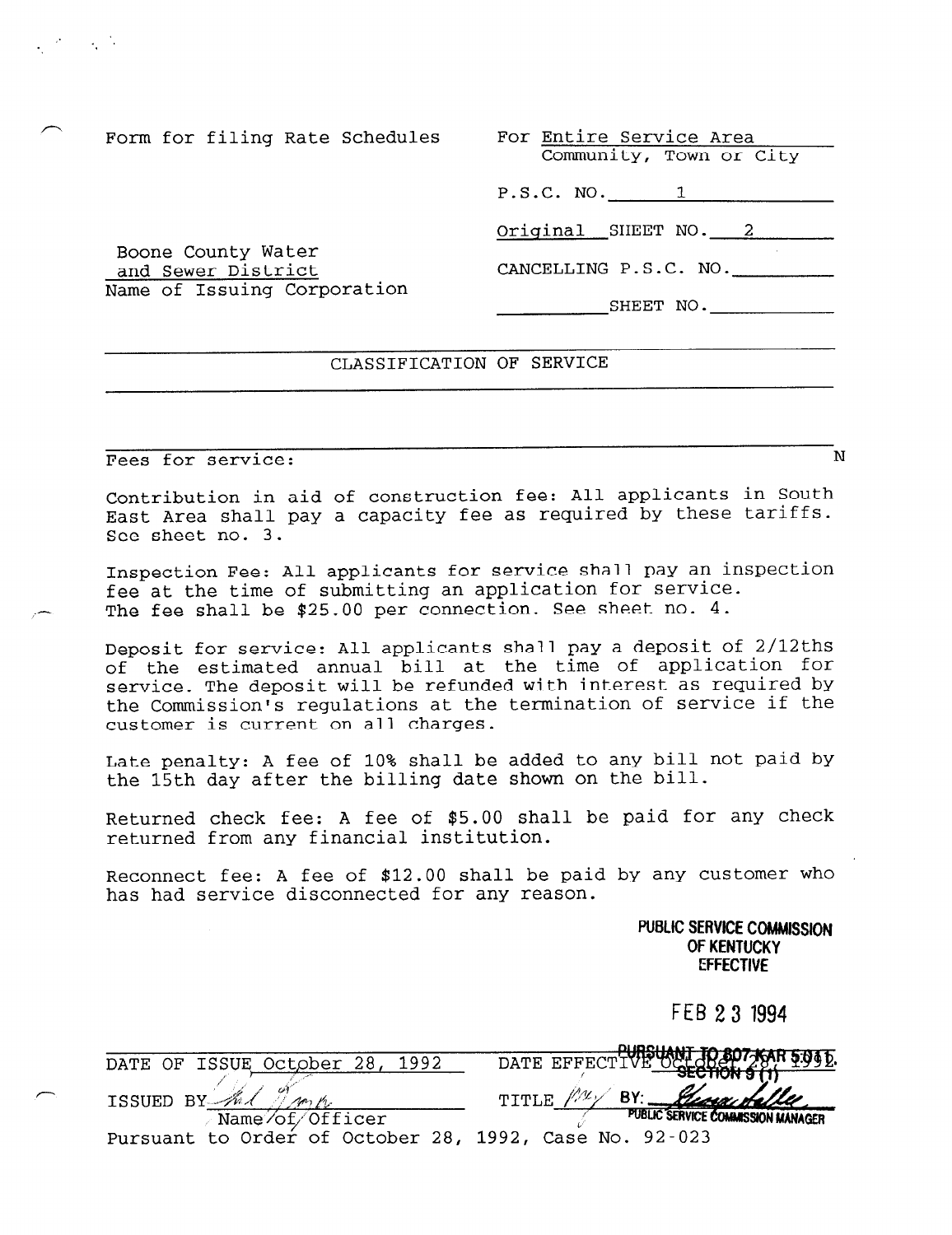Community, Town or City

P.S.C. NO. 1

Original SHEET NO. 2

CANCELLING P.S.C. NO.

SHEET NO.

# and Sewer District Name of Issuing Corporation

# CLASSIFICATION OF SERVICE

Fees for service:  $N$ 

Boone County Water

 $\mathcal{L}^{\text{max}}(\mathcal{L}^{\text{max}})$ 

Contribution in aid of construction fee: All applicants in South East Area shall pay a capacity fee as required by these tariffs. See sheet no. 3.

Inspection Fee: All applicants for service shall pay an inspection fee at the time of submitting an application for service. The fee shall be \$25.00 per connection. See sheet no. 4.

Deposit for service: All applicants shall pay a deposit of 2/12ths of the estimated annual bill at the time of application for service. The deposit will be refunded with interest as required by the Commission's regulations at the termination of service if the customer is current on all charges.

Late penalty: A fee of 10% shall be added to any bill not paid by the 15th day after the billing date shown on the bill.

Returned check fee: A fee of \$5.00 shall be paid for any check returned from any financial institution.

Reconnect fee: A fee of \$12.00 shall be paid by any customer who has had service disconnected for any reason.

> PUBLIC SERVICE COMMISSION OF KENTUCKY **EFFECTIVE**

> > FEB 23 1994

|   | 1992<br>ISSUE October 28,<br><b>DATE</b><br>ΛF | JR 807 KAR 5.04 D.<br><b>DATE</b><br>EFFECT) |
|---|------------------------------------------------|----------------------------------------------|
|   |                                                | <b>SECTION 9</b>                             |
| ∼ | DV<br><b>TSSUED</b>                            | <u>George Halle</u><br>BΥ                    |
|   | Name/of/Officer                                | PUBLIC SERVICE COMMISSION MANAGER            |
|   | Pursuant to Order of October 28, 1992,         | $92 - 023$<br>Case<br>No.                    |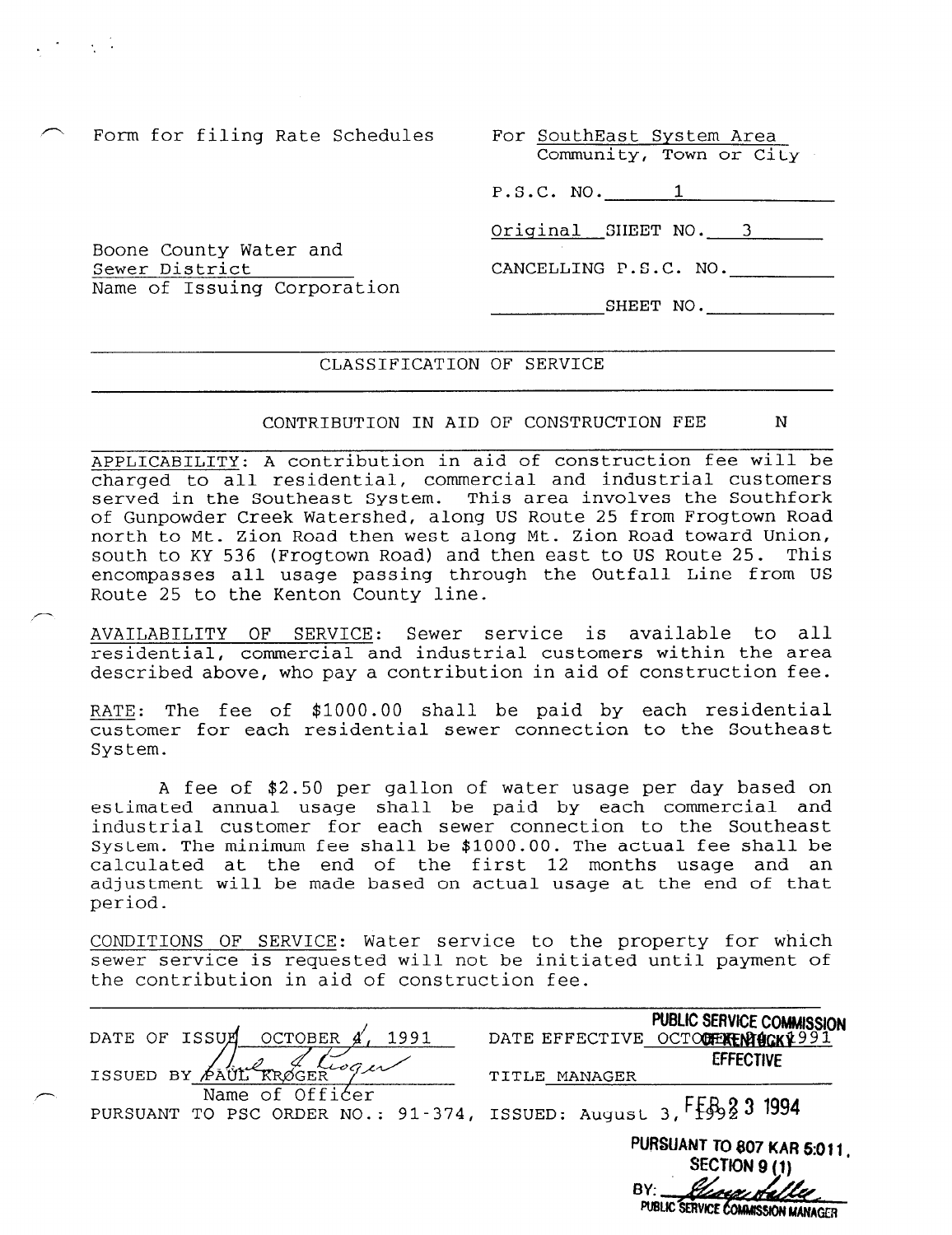Form for filing Rate Schedules

Boone County Water and

Name of Issuing Corporation

Sewer District

" . .

,-

| For SouthEast System Area |  |  |
|---------------------------|--|--|
| Community, Town or City   |  |  |

P.S.C. NO. 1

Original SHEET NO. 3

CANCELLING P.S.C. NO.

SHEET NO.

# CLASSIFICATION OF SERVICE

# CONTRIBUTION IN AID OF CONSTRUCTION FEE N

APPLICABILITY: A contribution in aid of construction fee will be charged to all residential, commercial and industrial customers served in the Southeast System. This area involves the Southfork of Gunpowder Creek Watershed, along US Route 25 from Frogtown Road north to Mt. Zion Road then west along Mt. Zion Road toward Union, south to KY 536 (Frogtown Road) and then east to US Route 25. This encompasses all usage passing through the Outfall Line from US Route 25 to the Kenton County line.

AVAILABILITY OF SERVICE: Sewer service is available to all residential, commercial and industrial customers within the area described above, who pay a contribution in aid of construction fee.

RATE: The fee of \$1000.00 shall be paid by each residential customer for each residential sewer connection to the Southeast System.

A fee of \$2.50 per gallon of water usage per day based on estimated annual usage shall be paid by each commercial and industrial customer for each sewer connection to the Southeast System. The minimum fee shall be \$1000.00. The actual fee shall be calculated at the end of the first 12 months usage and an adjustment will be made based on actual usage at the end of that period.

CONDITIONS OF SERVICE: Water service to the property for which sewer service is requested will not be initiated until payment of the contribution in aid of construction fee.

| OF ISSUE<br>1991<br>OCTOBER<br>DATE                                                             | PUBLIC SERVICE COMMISSION<br>DATE EFFECTIVE OCTOCHERENTICKY991<br><b>EFFECTIVE</b> |
|-------------------------------------------------------------------------------------------------|------------------------------------------------------------------------------------|
| ISSUED BY PAUL RROGER                                                                           | MANAGER<br>TITLE                                                                   |
| Name of Officer<br>PURSUANT TO PSC ORDER NO.: 91-374, ISSUED: August 3, FEB <sub>2</sub> 2 1994 |                                                                                    |
|                                                                                                 | PURSUANT TO 807 KAR 5:011.<br><b>SECTION 9 (1)</b><br>BY:                          |

PUBLIC SERVICE COMMISSION MANAGER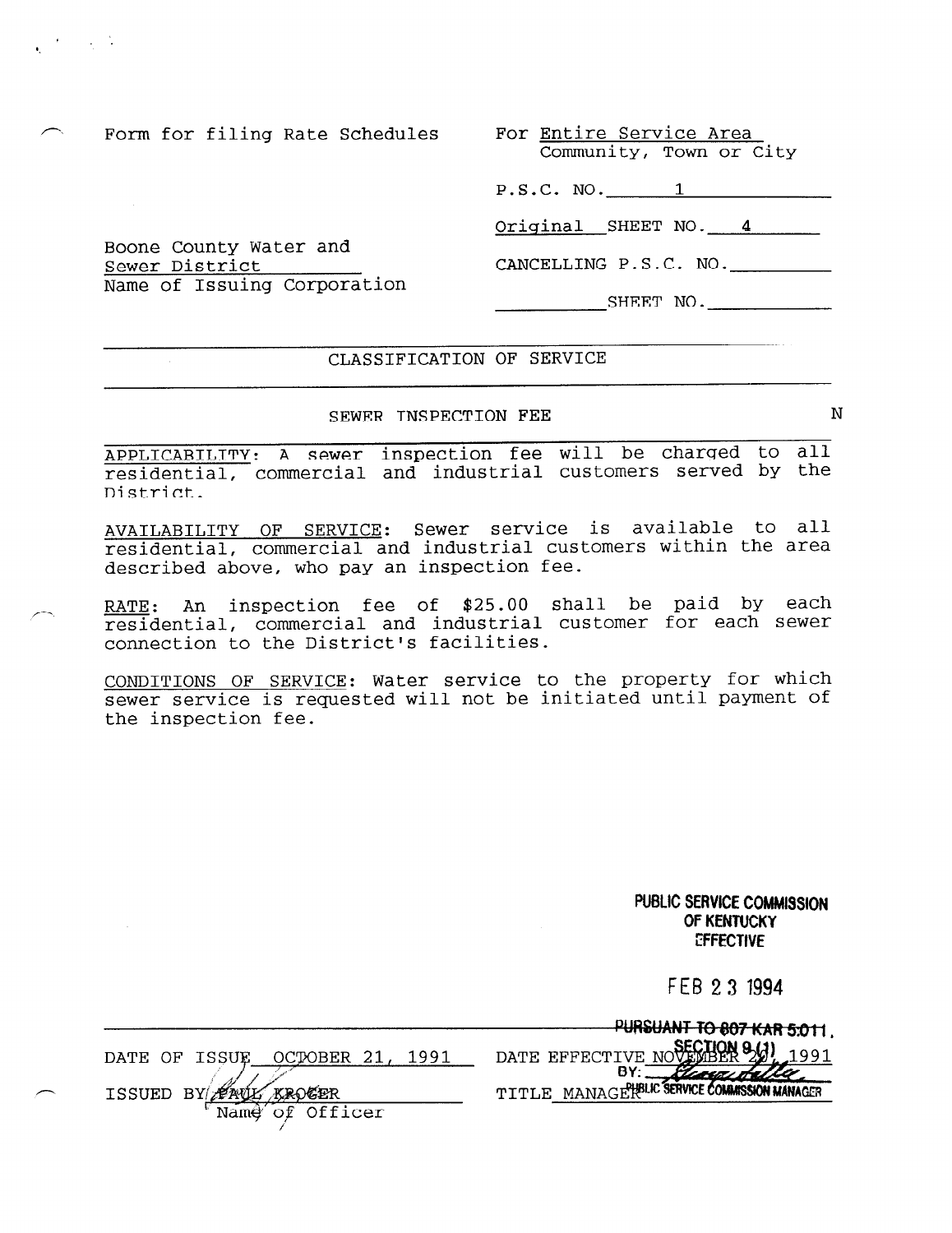Boone County Water and

Name of Issuing Corporation

Sewer District

' '.

Community, Town or City

P.S.C. NO. 1

Original SHEET NO. 4

CANCELLING P.S.C. NO.

SHEET NO.

# CLASSIFICATION OF SERVICE

## SEWER INSPECTION FEE N

APPLICABILITY: A sewer inspection fee will be charged to all residential, commercial and industrial customers served by the District.

AVAILABILITY OF SERVICE: Sewer service is available to all residential, commercial and industrial customers within the area described above, who pay an inspection fee.

RATE: An inspection fee of \$25.00 shall be paid by each residential, commercial and industrial customer for each sewer connection to the District's facilities.

CONDITIONS OF SERVICE: Water service to the property for which sewer service is requested will not be initiated until payment of the inspection fee.

> PUBLIC SERVICE COMMIBSION OF KENTUCKY **EFFECTIVE**

> > FEB 2 3 1994

and a series

|   |                                                    | PURSUANT TO 807 KAR 5:011                                         |
|---|----------------------------------------------------|-------------------------------------------------------------------|
|   |                                                    |                                                                   |
|   | 1991<br>OCTOBER<br>ISSU<br>$\cap$ F<br><b>DATE</b> | DATE EFFECTIVE NOVEMBER 941<br>1991                               |
| ∽ | ANU<br>aroger<br>BY/<br>ISSUED                     | receptable.<br>MANAGE PHELIC SERVICE COMMISSION MANAGER<br>ጥፐጥፒ F |
|   | $\cap \mathbb{F}$<br>Officer<br>Name               |                                                                   |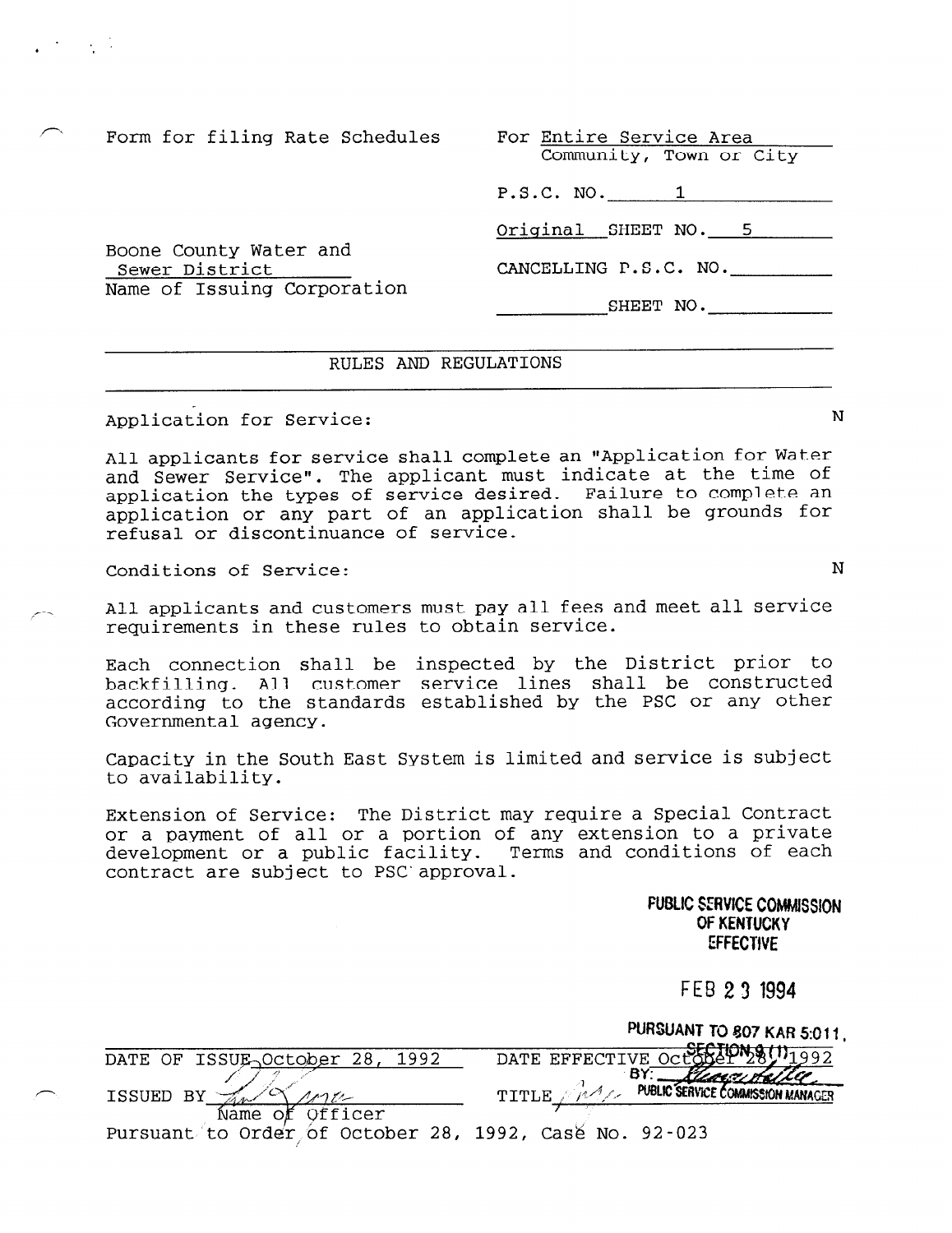.  $\cdot$   $\cdot$   $\cdot$   $\cdot$ 

Community, Town or City

P.S.C. NO. 1

Original SHEET NO. 5

CANCELLING P.S.C. NO.

SHEET NO.

Boone County Water and Sewer District Name of Issuing Corporation

#### RULES AND REGULATIONS

Application for Service: N

All applicants for service shall complete an "Application for Water and Sewer Service". The applicant must indicate at the time of application the types of service desired. Failure to complete an application or any part of an application shall be grounds for refusal or discontinuance of service.

Conditions of Service: N

All applicants and customers must pay all fees and meet all service requirements in these rules to obtain service.

Each connection shall be inspected by the District prior to backfilling. All customer service lines shall be constructed according to the standards established by the PSC or any other Governmental agency.

Capacity in the South East System is limited and service is subject to availability.

Extension of Service: The District may require a Special Contract or a payment of all or a portion of any extension to a private development or a public facility. Terms and conditions of each contract are subject to PSC'approval.

> FUBLIC SERVICE COMMISSION. OF KENTUCKY EFFECTIVE

> > FE9 2 3 1994

DUDDITARITY TO GOT HER RAIL.

|   |                                                                              | <b>FURSUANT TO SOT KAR 5:011.</b>                 |
|---|------------------------------------------------------------------------------|---------------------------------------------------|
|   | DATE OF ISSUE October 28, 1992                                               | DATE EFFECTIVE OCLOBET 2                          |
| ∕ | ISSUED BY                                                                    | PUBLIC SERVICE COMMISSION MANAGER<br><b>TITLE</b> |
|   | of Officer<br>Name<br>Pursuant to Order of October 28, 1992, Case No. 92-023 |                                                   |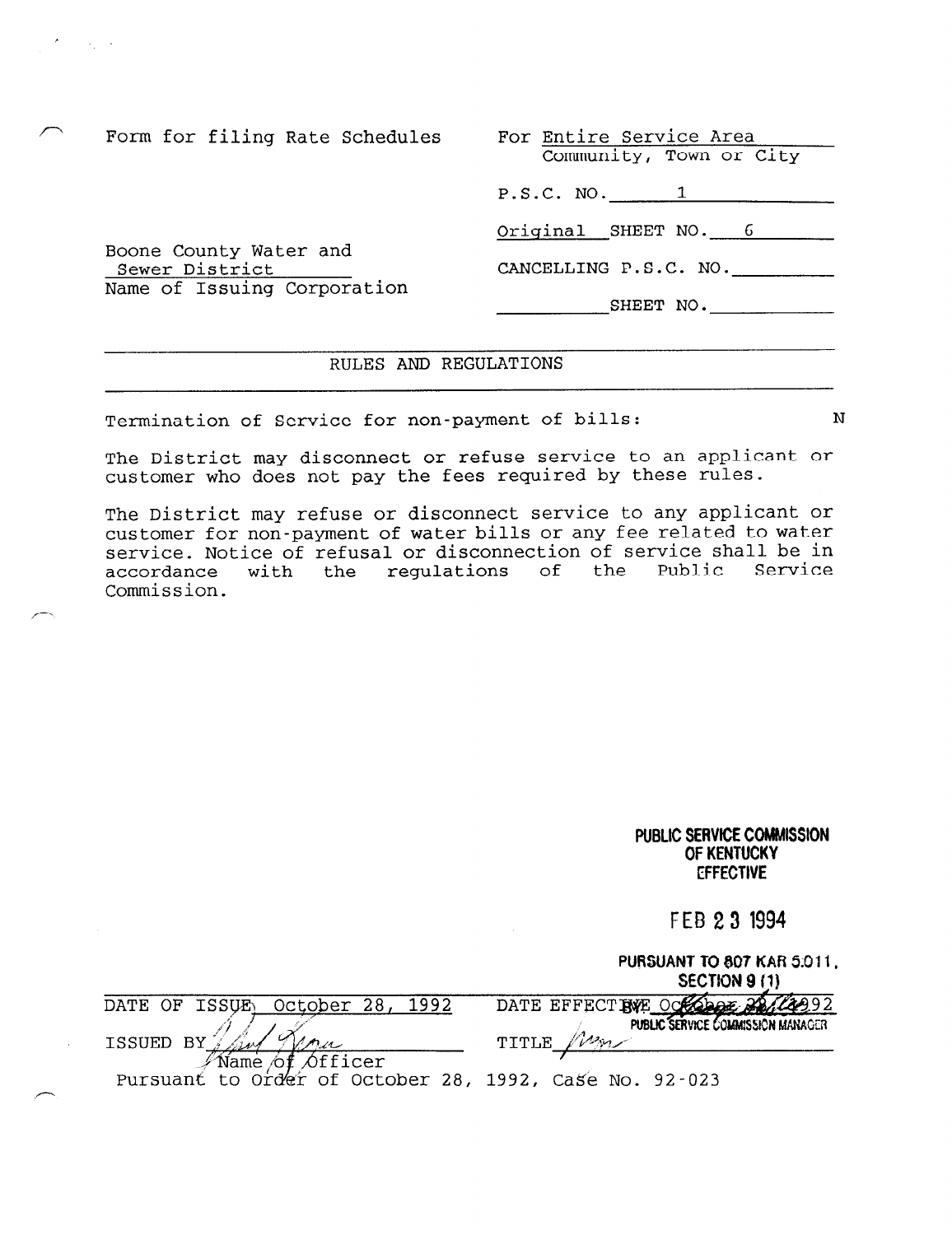Form for filing Rate Schedules

Boone County Water and

Name of Issuing Corporation

Sewer District

 $\sim 10^{11}$  km  $^{-1}$ 

| For Entire Service Area |  |  |
|-------------------------|--|--|
| Community, Town or City |  |  |

P.S.C. NO. 1

Original SHEET NO. 6

CANCELLING P.S.C. NO.

SHEET NO.

# RULES AND REGULATIONS

Termination of Service for non-payment of bills: N

The District may disconnect or refuse service to an applicant or customer who does not pay the fees required by these rules.

The District may refuse or disconnect service to any applicant or customer for non-payment of water bills or any fee related to water service. Notice of refusal or disconnection of service shall be in accordance with the regulations of the Public Service Commission.

|                                                                                                                | PUBLIC SERVICE COMMISSION<br>OF KENTUCKY<br><b>EFFECTIVE</b>    |
|----------------------------------------------------------------------------------------------------------------|-----------------------------------------------------------------|
|                                                                                                                | FEB 23 1994                                                     |
|                                                                                                                | PURSUANT TO 807 KAR 5:011,<br>SECTION 9 (1)                     |
| 1992<br>October 28,<br><b>ISSUE</b><br>DATE<br>ОF                                                              | DATE EFFECT BVE OCEODOF 22<br>PUBLIC SERVICE COMMISSION MANAGER |
| ΒY<br><b>ISSUED</b><br>Unu<br>$\Diamond$ fficer<br>Name of<br>Order<br>of October 28, 1992,<br>Pursuant<br>to. | TITLE<br>Case No. 92-023                                        |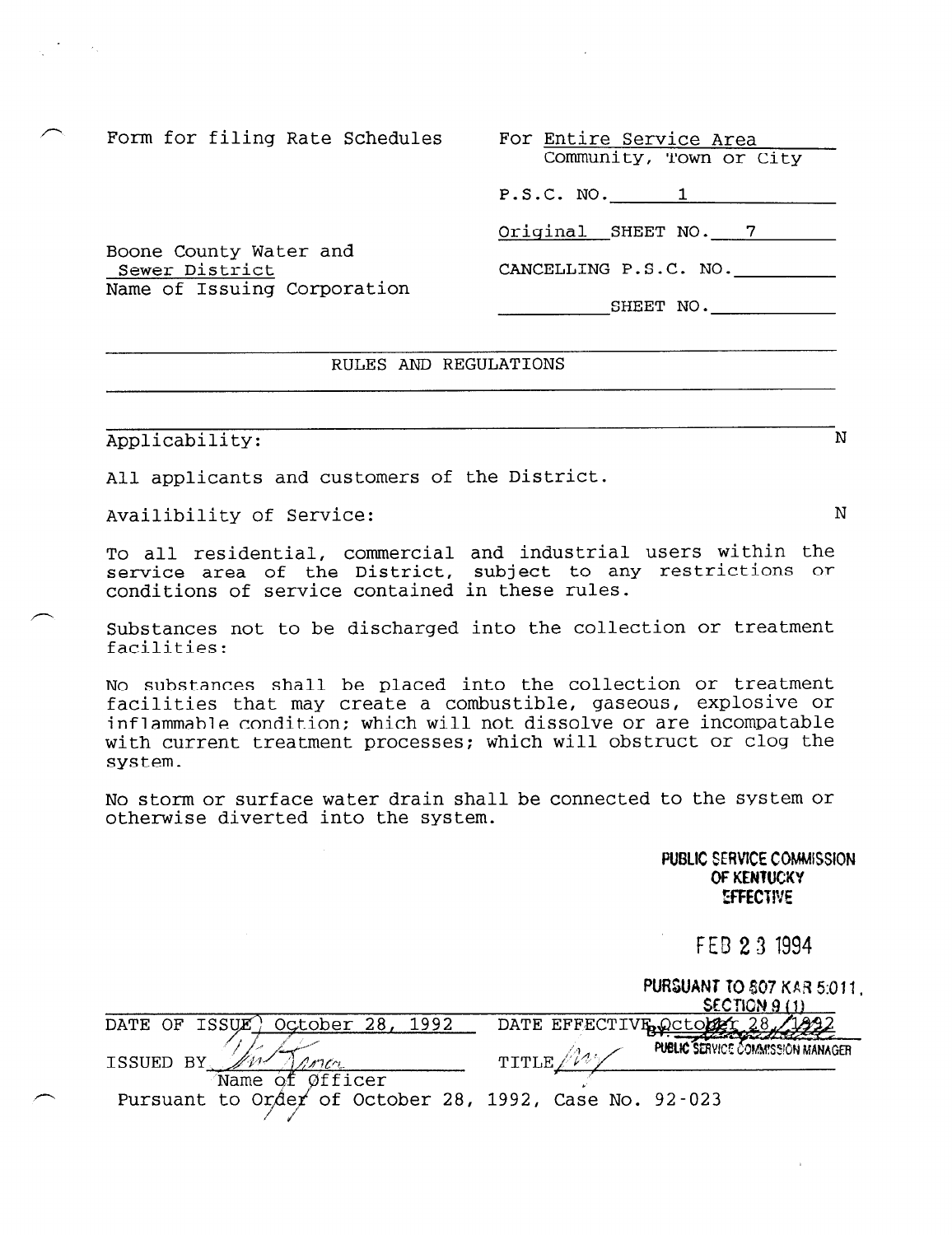Community, Town or City

P.S.C. NO. 1

Original SHEET NO. 7

CANCELLING P.S.C. NO.

SHEET NO.

# Boone County Water and Sewer District Name of Issuing Corporation

# RULES AND REGULATIONS

# Applicability: N

 $\mathcal{F}^{\mathcal{G}}_{\mathcal{G}}$  , and  $\mathcal{F}^{\mathcal{G}}_{\mathcal{G}}$ 

All applicants and customers of the District.

Availibility of Service: N

To all residential, commercial and industrial users within the service area of the District, subject to any restrictions or conditions of service contained in these rules.

Substances not to be discharged into the collection or treatment facilities:

No substances shall be placed into the collection or treatment facilities that may create a combustible, gaseous, explosive or inflammable condition; which will not dissolve or are incompatable with current treatment processes; which will obstruct or clog the system.

No storm or surface water drain shall be connected to the system or otherwise diverted into the system.

> PUBLIC SERVICE COMMSSiON OF KENTUCKY **EFFECTIVE**

# FEB 23 1994

|                                                                           | PURSUANT TO 807 KAR 5:011.<br>SECTION 9 (1)         |
|---------------------------------------------------------------------------|-----------------------------------------------------|
| October 28,<br>DATE OF ISSUE)<br>1992                                     | DATE EFFECTIVE October 28                           |
| ISSUED BY                                                                 | <b>PUBLIC SERVICE COMMISSION MANAGER</b><br>TITLE / |
| Name of Øfficer<br>Pursuant to Order of October 28, 1992, Case No. 92-023 |                                                     |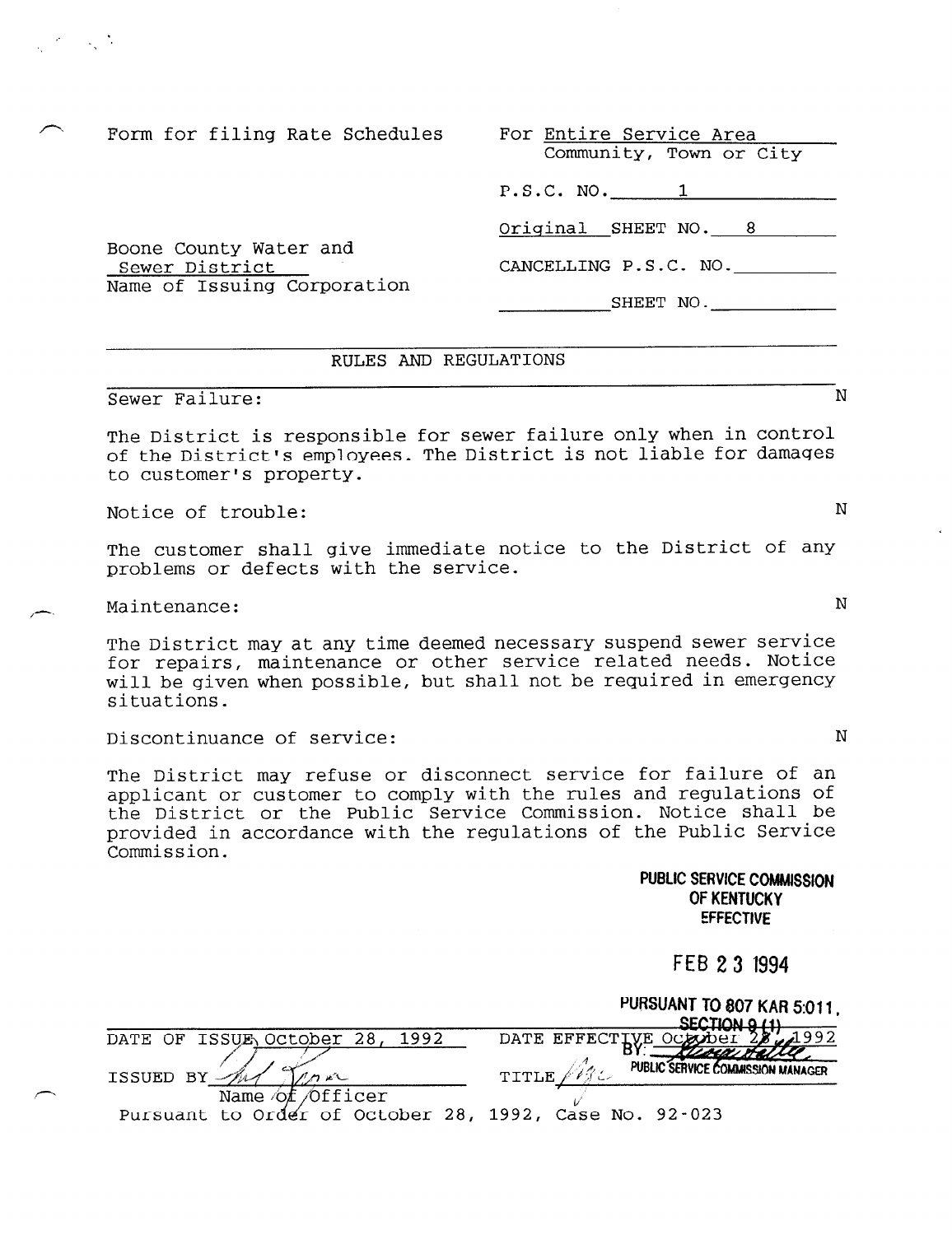Boone County Water and

Name of Issuing Corporation

Sewer District

 $\mathcal{L}^{\mathcal{A}}$  , and  $\mathcal{L}^{\mathcal{A}}$ 

Community, Town or City

P.S.C. NO. 1

Original SHEET NO. 8

CANCELLING P.S.C. NO.

SHEET NO.

## RULES AND REGULATIONS

# Sewer Failure: N

The District is responsible for sewer failure only when in control of the District's employees. The District is not liable for damages to customer's property.

Notice of trouble: Notice  $\mathcal N$ 

The customer shall give immediate notice to the District of any problems or defects with the service.

Maintenance: N

The District may at any time deemed necessary suspend sewer service for repairs, maintenance or other service related needs. Notice will be given when possible, but shall not be required in emergency situations.

Discontinuance of service: N

The District may refuse or disconnect service for failure of an applicant or customer to comply with the rules and regulations of the District or the Public Service Commission. Notice shall be provided in accordance with the regulations of the Public Service Commission.

> PUBLIC SERVICE COMMISSION OF KENTUCKY **EFFECTIVE**

> > FEB 23 1994

|                                                        | PURSUANT TO 807 KAR 5:011.<br>SECTION 0.11                              |
|--------------------------------------------------------|-------------------------------------------------------------------------|
| DATE OF ISSUE OCtober 28, 1992                         | DATE EFFECTLUE OCCODET 28 201992                                        |
| ISSUED BY                                              | <u>Russa Halle</u><br>PUBLIC SERVICE COMMISSION MANAGER<br><b>TITLE</b> |
| Name of Officer                                        |                                                                         |
| Pursuant to Order of October 28, 1992, Case No. 92-023 |                                                                         |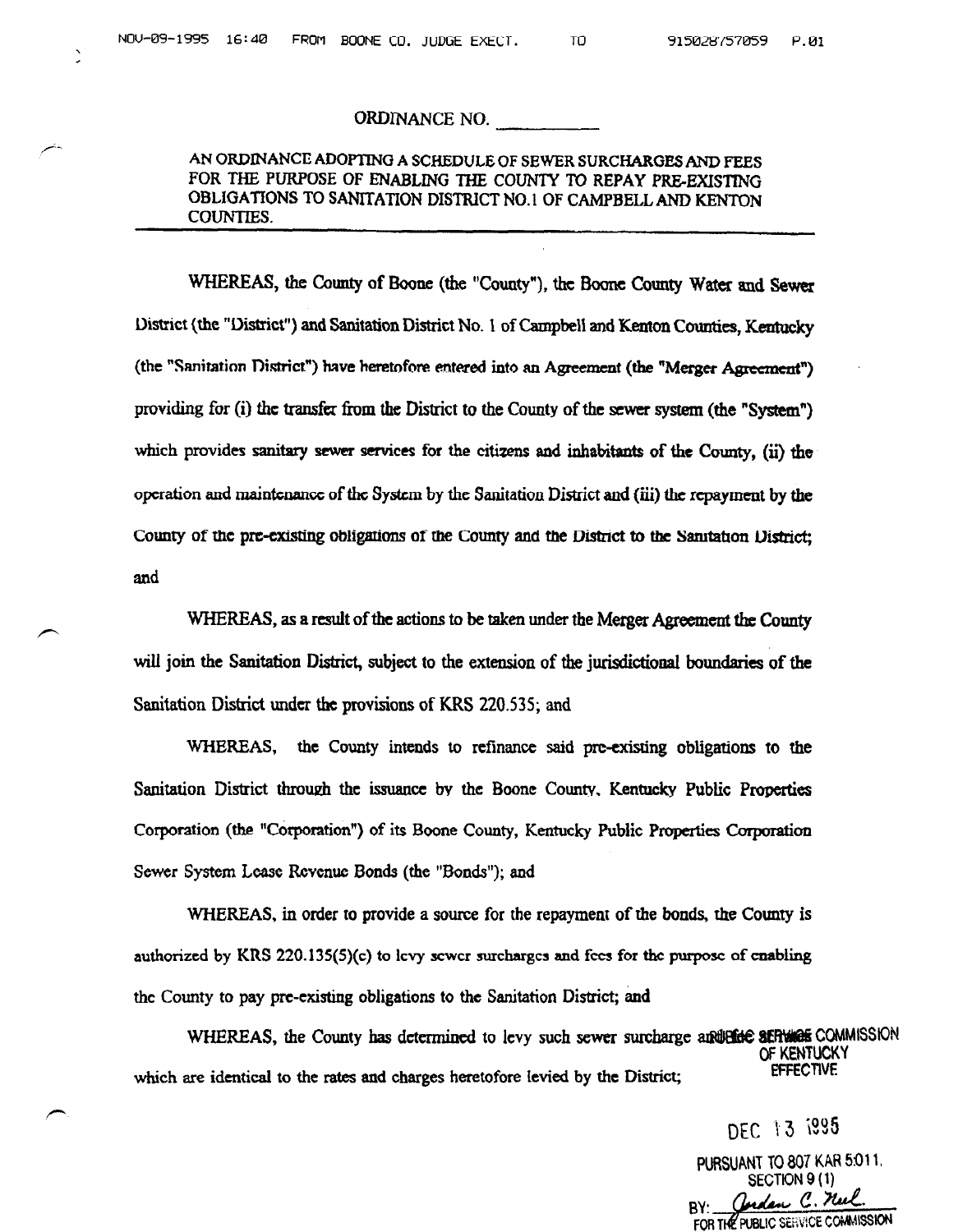## ORDINANCE NO.

# AN ORDINANCE ADOPTING A SCHEDULE OF SEWER SURCHARGES AND FEES FOR THE PURPOSE OF ENABLING THE COUNTY To REPAY PRE-EXISTING OBLIGATIONS TO SANITATION DISTRICT NO. 1 OF CAMPBELL AND KENTON couNTlEs.

WHEREAS, the County of Boone (the "County"), the Boone County Water and Sewer District (the "District") and Sanitation District No. 1 of Campbell and Kenton Counties, Kentucky (the "Sanitation District") have heretofore entered into an Agreement (the "Merger Agreement") providing for (i) the transfer from the District to the County of the sewer system (the "System") which provides sanitary sewer services for the citizens and inhabitants of the County, (ii) the operation and maintenance of the System by the Sanitation District and (iii) the repayment by the County of the pre-existing obligations of the County and the District to the Sanitation District; and

WHEREAS, as a result of the actions to be taken under the Merger Agreement the County will join the Sanitation District, subject to the extension of the jurisdictional boundaries of the Sanitation District under the provisions of KRS 220.535; and

WHEREAS, the County intends to refinance said pre-existing obligations to the Sanitation District through the issuance by the Boone County, Kentucky Public Properties Corporation (the "Corporation") of its Boone County, Kentucky Public Properties Corporation Sewer System Lease Revenue Bonds (the "Bonds"); and

WHEREAS, in order to provide a source for the repayment of the bonds, the County is authorized by  $KRS$  220.135 $(5)(c)$  to levy sewer surcharges and fees for the purpose of enabling the County to pay pre-existing obligations to the Sanitation District; and

WHEREAS, the County has determined to levy such sewer surcharge and leade SERVIGE COMMISSION Which are identical to the rates and charges to the rates and charges heretofore levied by the District; Eftect

> DEC 13 1995 PURSUANT TO 807 KAR 5011, NT TO 807 KAH Onder C. neel. FOR THE PUBLIC SERVICE COMMISSION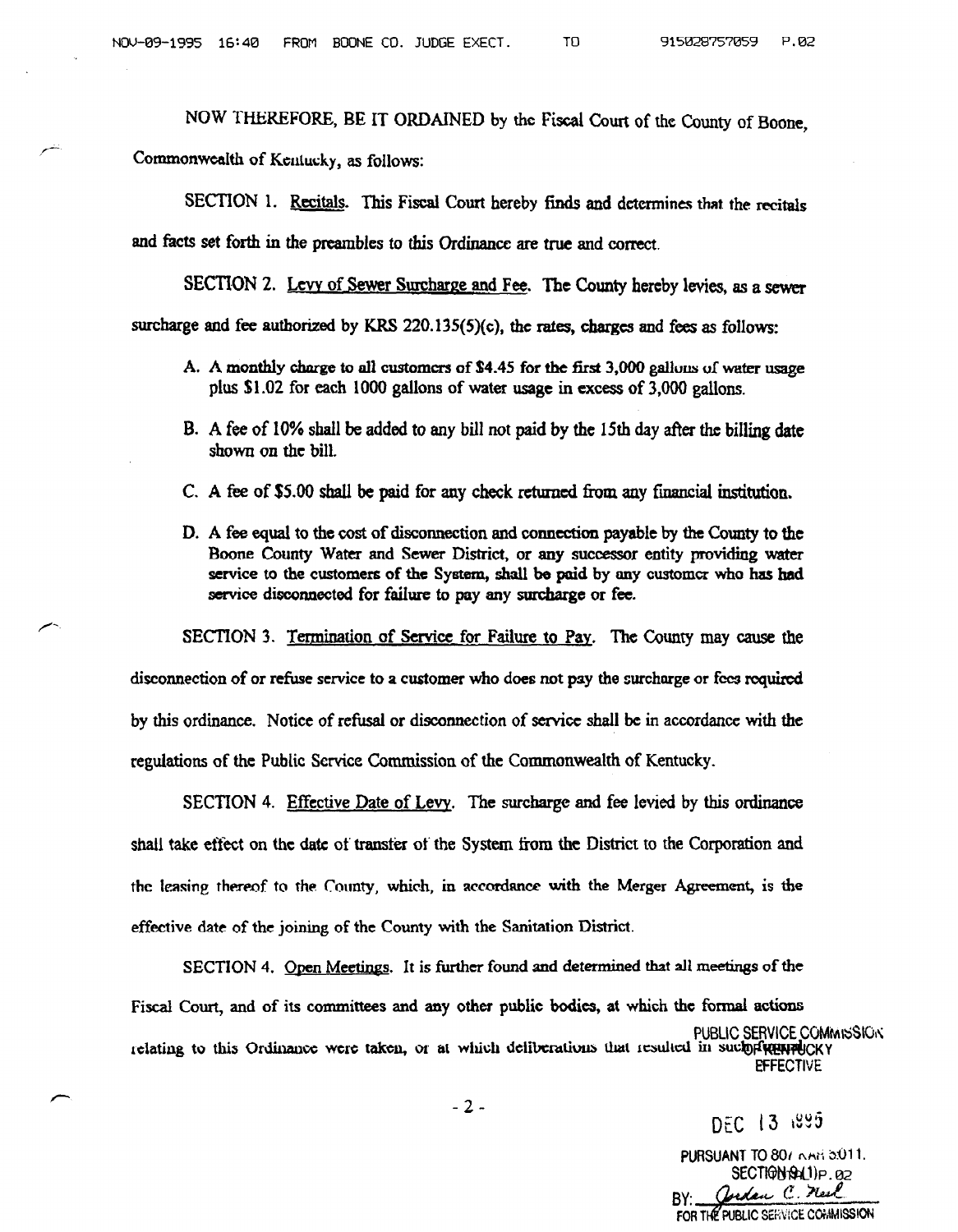NOW THEREFORE, BE IT ORDAINED by the Fiscal Court of the County of Boone,

Commonwealth of Kentucky, as follows:

SECTION 1. Recitals. This Fiscal Court hereby finds and determines that the recitals and facts set forth in the preambles to this Ordinance are true and correct.

SECTION 2. Levy of Sewer Surcharge and Fee. The County hereby levies, as a sewer surcharge and fee authorized by KRS  $220.135(5)(c)$ , the rates, charges and fees as follows:

- A. A monthly charge to all customers of \$4.45 for the first 3,000 gallous of water usage plus \$1.02 for each 1000 gallons of water usage in excess of 3,000 gallons.
- B. A fee of 10% shall be added to any bill not paid by the 15th day after the billing date shown on the bill.
- C. A fee of \$5.00 shall be paid for any check returned from any financial institution.
- D. A fee equal to the cost of disconnection and connection payable by the County to the Boone County Water and Sewer District, or any successor entity providing water service to the customers of the System, shall be paid by any customer who has had service disconnected for failure to pay any surcharge or fee.

SECTION 3. Termination of Service for Failure to Pay. The County may cause the disconnection of or refuse service to a customer who does not pay the surcharge or fees required by this ordinance. Notice of refusal or disconnection of service shall be in accordance with the regulations of the Public Service Commission of the Commonwealth of Kentucky.

SECTION 4. Effective Date of Levy. The surcharge and fee levied by this ordinance shall take effect on the date of transfer of the System from the District to the Corporation and the leasing thereof to the County, which, in accordance with the Merger Agreement, is the effective date of the joining of the County with the Sanitation District.

SECTION 4. Open Meetings. It is further found and determined that all meetings of the Fiscal Court, and of its committees and any other public bodies, at which the formal actions PUBLIC SERVICE COMMISSION. relating to this Ordinance were taken, or at which deliberations that resulted in such proprietary **EFFECTIVE** 

 $-2-$ 

DFC 13⊣895

PURSUANT TO 80/ RAH 5:011. SECTION Phil)P.02<br>Cerdan C. Mesl FOR THE PUBLIC SERVICE COMMISSION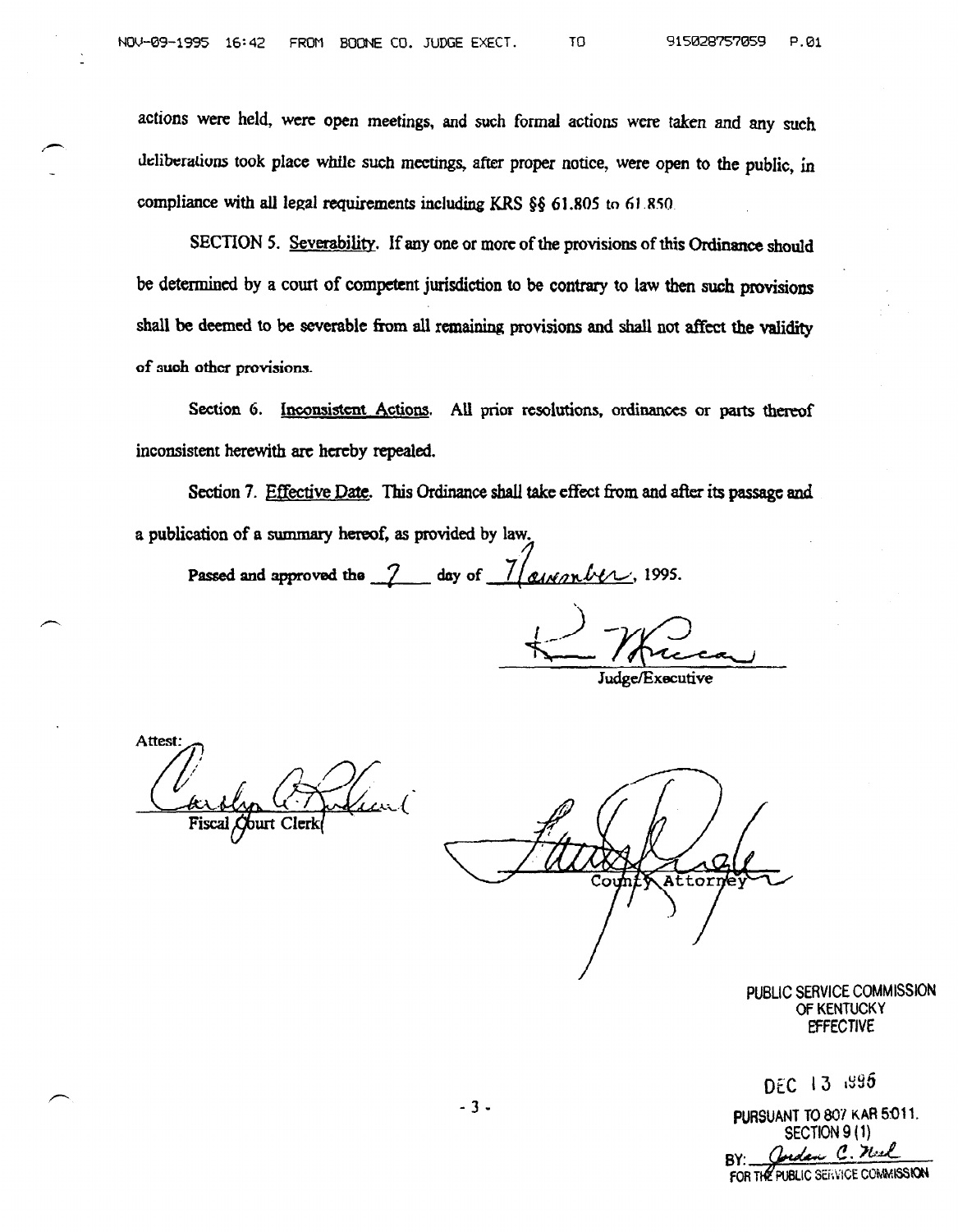actions were held, were open meetings, and such formal actions were taken and any such deliberations took place while such meetings, after proper notice, were open to the public, in compliance with all legal requirements including KRS §§ 61.805 to 61.850.

SECTION 5. Severability. If any one or more of the provisions of this Ordinance should be determined by a court of competent jurisdiction to be contrary to law then such provisions shall be deemed to be severable from all remaining provisions and shall not affect the validity of 3uoh other provisions.

Section 6. Inconsistent Actions. All prior resolutions, ordinances or parts thereof inconsistent herewith are hcrcby repealed.

Section 7. Effective Date. This Ordinance shall take effect from and after its passage and a publication of a summary hereof, as provided by law.

Passed and approved the  $\frac{7}{4}$  day of  $\frac{7}{4}$  given be 1995.

Judge/Executive

**Attest** 

Attorn

PUBLIC SERVICE COMMISSION OF KENTUCKY **EFFECTIVE** 

DEC 13 1995

 $-3$  - PURSUANT TO 807 KAR 5:011, SECTION 9 (1) andan C. Neel RY. FOR THE PUBLIC SERVICE COMMISSION